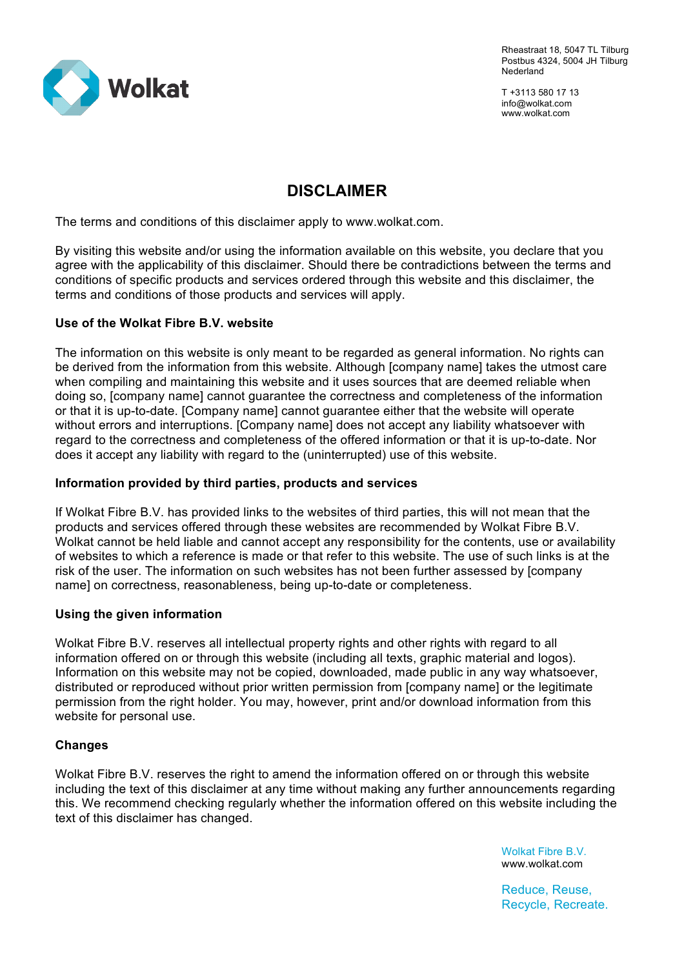

Rheastraat 18, 5047 TL Tilburg Postbus 4324, 5004 JH Tilburg Nederland

T +3113 580 17 13 info@wolkat.com www.wolkat.com

# **DISCLAIMER**

The terms and conditions of this disclaimer apply to www.wolkat.com.

By visiting this website and/or using the information available on this website, you declare that you agree with the applicability of this disclaimer. Should there be contradictions between the terms and conditions of specific products and services ordered through this website and this disclaimer, the terms and conditions of those products and services will apply.

## **Use of the Wolkat Fibre B.V. website**

The information on this website is only meant to be regarded as general information. No rights can be derived from the information from this website. Although [company name] takes the utmost care when compiling and maintaining this website and it uses sources that are deemed reliable when doing so, [company name] cannot guarantee the correctness and completeness of the information or that it is up-to-date. [Company name] cannot guarantee either that the website will operate without errors and interruptions. [Company name] does not accept any liability whatsoever with regard to the correctness and completeness of the offered information or that it is up-to-date. Nor does it accept any liability with regard to the (uninterrupted) use of this website.

### **Information provided by third parties, products and services**

If Wolkat Fibre B.V. has provided links to the websites of third parties, this will not mean that the products and services offered through these websites are recommended by Wolkat Fibre B.V. Wolkat cannot be held liable and cannot accept any responsibility for the contents, use or availability of websites to which a reference is made or that refer to this website. The use of such links is at the risk of the user. The information on such websites has not been further assessed by [company name] on correctness, reasonableness, being up-to-date or completeness.

## **Using the given information**

Wolkat Fibre B.V. reserves all intellectual property rights and other rights with regard to all information offered on or through this website (including all texts, graphic material and logos). Information on this website may not be copied, downloaded, made public in any way whatsoever, distributed or reproduced without prior written permission from [company name] or the legitimate permission from the right holder. You may, however, print and/or download information from this website for personal use.

## **Changes**

Wolkat Fibre B.V. reserves the right to amend the information offered on or through this website including the text of this disclaimer at any time without making any further announcements regarding this. We recommend checking regularly whether the information offered on this website including the text of this disclaimer has changed.

> Wolkat Fibre B.V. www.wolkat.com

Reduce, Reuse, Recycle, Recreate.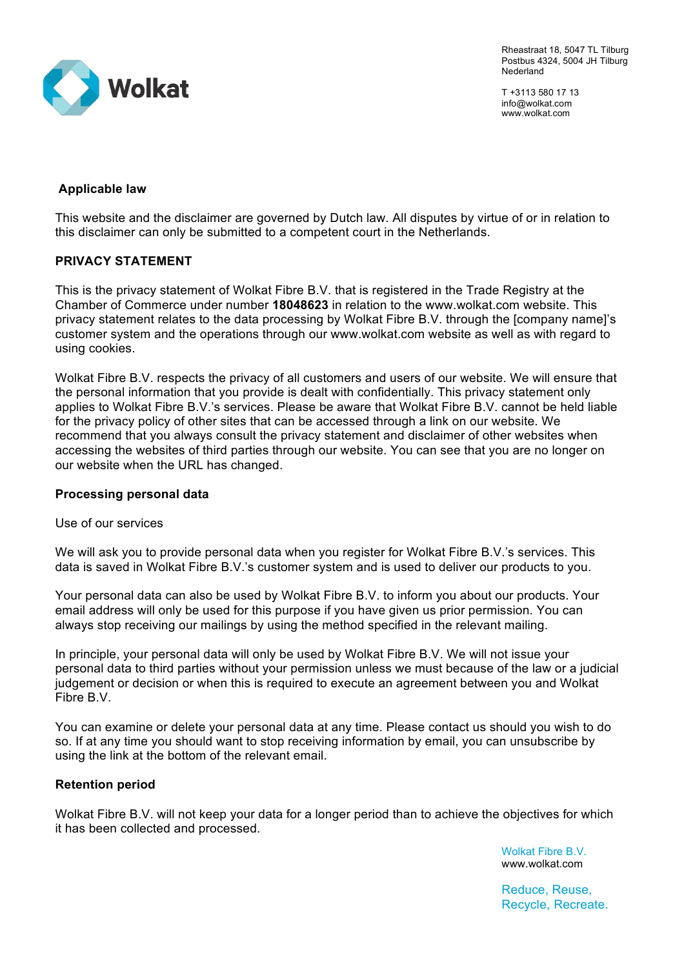

Rheastraat 18, 5047 TL Tilburg Postbus 4324, 5004 JH Tilburg Nederland

T +3113 580 17 13 info@wolkat.com www.wolkat.com

# **Applicable law**

This website and the disclaimer are governed by Dutch law. All disputes by virtue of or in relation to this disclaimer can only be submitted to a competent court in the Netherlands.

# **PRIVACY STATEMENT**

This is the privacy statement of Wolkat Fibre B.V. that is registered in the Trade Registry at the Chamber of Commerce under number **18048623** in relation to the www.wolkat.com website. This privacy statement relates to the data processing by Wolkat Fibre B.V. through the [company name]'s customer system and the operations through our www.wolkat.com website as well as with regard to using cookies.

Wolkat Fibre B.V. respects the privacy of all customers and users of our website. We will ensure that the personal information that you provide is dealt with confidentially. This privacy statement only applies to Wolkat Fibre B.V.'s services. Please be aware that Wolkat Fibre B.V. cannot be held liable for the privacy policy of other sites that can be accessed through a link on our website. We recommend that you always consult the privacy statement and disclaimer of other websites when accessing the websites of third parties through our website. You can see that you are no longer on our website when the URL has changed.

## **Processing personal data**

#### Use of our services

We will ask you to provide personal data when you register for Wolkat Fibre B.V.'s services. This data is saved in Wolkat Fibre B.V.'s customer system and is used to deliver our products to you.

Your personal data can also be used by Wolkat Fibre B.V. to inform you about our products. Your email address will only be used for this purpose if you have given us prior permission. You can always stop receiving our mailings by using the method specified in the relevant mailing.

In principle, your personal data will only be used by Wolkat Fibre B.V. We will not issue your personal data to third parties without your permission unless we must because of the law or a judicial judgement or decision or when this is required to execute an agreement between you and Wolkat Fibre B.V.

You can examine or delete your personal data at any time. Please contact us should you wish to do so. If at any time you should want to stop receiving information by email, you can unsubscribe by using the link at the bottom of the relevant email.

## **Retention period**

Wolkat Fibre B.V. will not keep your data for a longer period than to achieve the objectives for which it has been collected and processed.

> Wolkat Fibre B.V. www.wolkat.com

Reduce, Reuse, Recycle, Recreate.